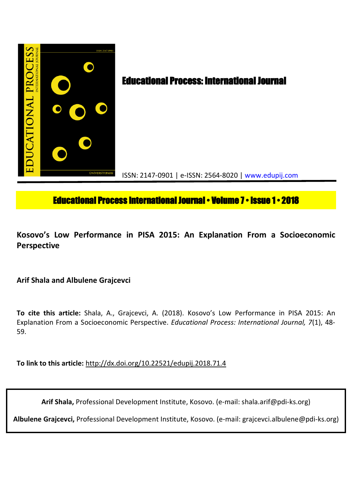

# **Educational Process International Journal • Volume 7 • Issue 1 • 2018**

## **Kosovo's Low Performance in PISA 2015: An Explanation From a Socioeconomic Perspective**

**Arif Shala and Albulene Grajcevci**

**To cite this article:** Shala, A., Grajcevci, A. (2018). Kosovo's Low Performance in PISA 2015: An Explanation From a Socioeconomic Perspective. *Educational Process: International Journal, 7*(1), 48- 59.

**To link to this article:** http://dx.doi.org/10.22521/edupij.2018.71.4

**Arif Shala,** Professional Development Institute, Kosovo. (e-mail: shala.arif@pdi-ks.org)

**Albulene Grajcevci,** Professional Development Institute, Kosovo. (e-mail: grajcevci.albulene@pdi-ks.org)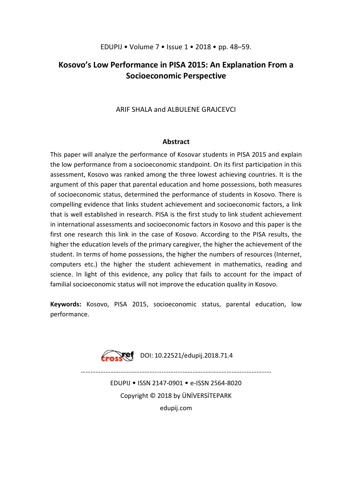## **Kosovo's Low Performance in PISA 2015: An Explanation From a Socioeconomic Perspective**

## ARIF SHALA and ALBULENE GRAJCEVCI

## **Abstract**

This paper will analyze the performance of Kosovar students in PISA 2015 and explain the low performance from a socioeconomic standpoint. On its first participation in this assessment, Kosovo was ranked among the three lowest achieving countries. It is the argument of this paper that parental education and home possessions, both measures of socioeconomic status, determined the performance of students in Kosovo. There is compelling evidence that links student achievement and socioeconomic factors, a link that is well established in research. PISA is the first study to link student achievement in international assessments and socioeconomic factors in Kosovo and this paper is the first one research this link in the case of Kosovo. According to the PISA results, the higher the education levels of the primary caregiver, the higher the achievement of the student. In terms of home possessions, the higher the numbers of resources (Internet, computers etc.) the higher the student achievement in mathematics, reading and science. In light of this evidence, any policy that fails to account for the impact of familial socioeconomic status will not improve the education quality in Kosovo.

**Keywords:** Kosovo, PISA 2015, socioeconomic status, parental education, low performance.



………………………………………........….....………………………………...……………

EDUPIJ • ISSN 2147-0901 • e-ISSN 2564-8020 Copyright © 2018 by ÜNİVERSİTEPARK edupij.com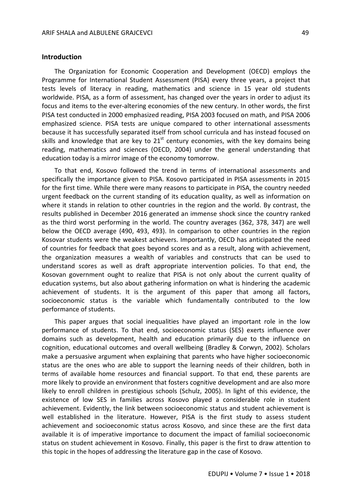#### **Introduction**

The Organization for Economic Cooperation and Development (OECD) employs the Programme for International Student Assessment (PISA) every three years, a project that tests levels of literacy in reading, mathematics and science in 15 year old students worldwide. PISA, as a form of assessment, has changed over the years in order to adjust its focus and items to the ever-altering economies of the new century. In other words, the first PISA test conducted in 2000 emphasized reading, PISA 2003 focused on math, and PISA 2006 emphasized science. PISA tests are unique compared to other international assessments because it has successfully separated itself from school curricula and has instead focused on skills and knowledge that are key to  $21<sup>st</sup>$  century economies, with the key domains being reading, mathematics and sciences (OECD, 2004) under the general understanding that education today is a mirror image of the economy tomorrow.

To that end, Kosovo followed the trend in terms of international assessments and specifically the importance given to PISA. Kosovo participated in PISA assessments in 2015 for the first time. While there were many reasons to participate in PISA, the country needed urgent feedback on the current standing of its education quality, as well as information on where it stands in relation to other countries in the region and the world. By contrast, the results published in December 2016 generated an immense shock since the country ranked as the third worst performing in the world. The country averages (362, 378, 347) are well below the OECD average (490, 493, 493). In comparison to other countries in the region Kosovar students were the weakest achievers. Importantly, OECD has anticipated the need of countries for feedback that goes beyond scores and as a result, along with achievement, the organization measures a wealth of variables and constructs that can be used to understand scores as well as draft appropriate intervention policies. To that end, the Kosovan government ought to realize that PISA is not only about the current quality of education systems, but also about gathering information on what is hindering the academic achievement of students. It is the argument of this paper that among all factors, socioeconomic status is the variable which fundamentally contributed to the low performance of students.

This paper argues that social inequalities have played an important role in the low performance of students. To that end, socioeconomic status (SES) exerts influence over domains such as development, health and education primarily due to the influence on cognition, educational outcomes and overall wellbeing (Bradley & Corwyn, 2002). Scholars make a persuasive argument when explaining that parents who have higher socioeconomic status are the ones who are able to support the learning needs of their children, both in terms of available home resources and financial support. To that end, these parents are more likely to provide an environment that fosters cognitive development and are also more likely to enroll children in prestigious schools (Schulz, 2005). In light of this evidence, the existence of low SES in families across Kosovo played a considerable role in student achievement. Evidently, the link between socioeconomic status and student achievement is well established in the literature. However, PISA is the first study to assess student achievement and socioeconomic status across Kosovo, and since these are the first data available it is of imperative importance to document the impact of familial socioeconomic status on student achievement in Kosovo. Finally, this paper is the first to draw attention to this topic in the hopes of addressing the literature gap in the case of Kosovo.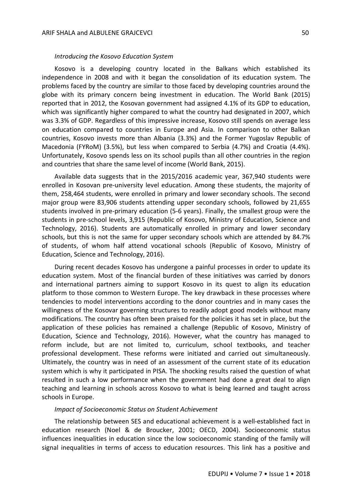#### *Introducing the Kosovo Education System*

Kosovo is a developing country located in the Balkans which established its independence in 2008 and with it began the consolidation of its education system. The problems faced by the country are similar to those faced by developing countries around the globe with its primary concern being investment in education. The World Bank (2015) reported that in 2012, the Kosovan government had assigned 4.1% of its GDP to education, which was significantly higher compared to what the country had designated in 2007, which was 3.3% of GDP. Regardless of this impressive increase, Kosovo still spends on average less on education compared to countries in Europe and Asia. In comparison to other Balkan countries, Kosovo invests more than Albania (3.3%) and the Former Yugoslav Republic of Macedonia (FYRoM) (3.5%), but less when compared to Serbia (4.7%) and Croatia (4.4%). Unfortunately, Kosovo spends less on its school pupils than all other countries in the region and countries that share the same level of income (World Bank, 2015).

Available data suggests that in the 2015/2016 academic year, 367,940 students were enrolled in Kosovan pre-university level education. Among these students, the majority of them, 258,464 students, were enrolled in primary and lower secondary schools. The second major group were 83,906 students attending upper secondary schools, followed by 21,655 students involved in pre-primary education (5-6 years). Finally, the smallest group were the students in pre-school levels, 3,915 (Republic of Kosovo, Ministry of Education, Science and Technology, 2016). Students are automatically enrolled in primary and lower secondary schools, but this is not the same for upper secondary schools which are attended by 84.7% of students, of whom half attend vocational schools (Republic of Kosovo, Ministry of Education, Science and Technology, 2016).

During recent decades Kosovo has undergone a painful processes in order to update its education system. Most of the financial burden of these initiatives was carried by donors and international partners aiming to support Kosovo in its quest to align its education platform to those common to Western Europe. The key drawback in these processes where tendencies to model interventions according to the donor countries and in many cases the willingness of the Kosovar governing structures to readily adopt good models without many modifications. The country has often been praised for the policies it has set in place, but the application of these policies has remained a challenge (Republic of Kosovo, Ministry of Education, Science and Technology, 2016). However, what the country has managed to reform include, but are not limited to, curriculum, school textbooks, and teacher professional development. These reforms were initiated and carried out simultaneously. Ultimately, the country was in need of an assessment of the current state of its education system which is why it participated in PISA. The shocking results raised the question of what resulted in such a low performance when the government had done a great deal to align teaching and learning in schools across Kosovo to what is being learned and taught across schools in Europe.

#### *Impact of Socioeconomic Status on Student Achievement*

The relationship between SES and educational achievement is a well-established fact in education research (Noel & de Broucker, 2001; OECD, 2004). Socioeconomic status influences inequalities in education since the low socioeconomic standing of the family will signal inequalities in terms of access to education resources. This link has a positive and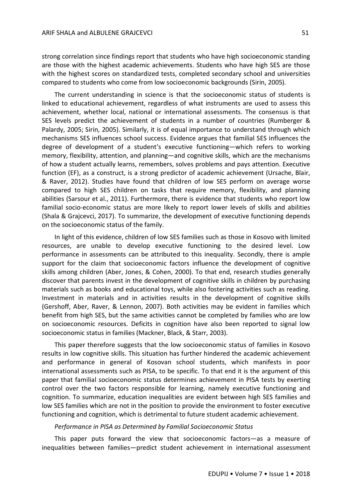strong correlation since findings report that students who have high socioeconomic standing are those with the highest academic achievements. Students who have high SES are those with the highest scores on standardized tests, completed secondary school and universities compared to students who come from low socioeconomic backgrounds (Sirin, 2005).

The current understanding in science is that the socioeconomic status of students is linked to educational achievement, regardless of what instruments are used to assess this achievement, whether local, national or international assessments. The consensus is that SES levels predict the achievement of students in a number of countries (Rumberger & Palardy, 2005; Sirin, 2005). Similarly, it is of equal importance to understand through which mechanisms SES influences school success. Evidence argues that familial SES influences the degree of development of a student's executive functioning—which refers to working memory, flexibility, attention, and planning—and cognitive skills, which are the mechanisms of how a student actually learns, remembers, solves problems and pays attention. Executive function (EF), as a construct, is a strong predictor of academic achievement (Ursache, Blair, & Raver, 2012). Studies have found that children of low SES perform on average worse compared to high SES children on tasks that require memory, flexibility, and planning abilities (Sarsour et al., 2011). Furthermore, there is evidence that students who report low familial socio-economic status are more likely to report lower levels of skills and abilities (Shala & Grajcevci, 2017). To summarize, the development of executive functioning depends on the socioeconomic status of the family.

In light of this evidence, children of low SES families such as those in Kosovo with limited resources, are unable to develop executive functioning to the desired level. Low performance in assessments can be attributed to this inequality. Secondly, there is ample support for the claim that socioeconomic factors influence the development of cognitive skills among children (Aber, Jones, & Cohen, 2000). To that end, research studies generally discover that parents invest in the development of cognitive skills in children by purchasing materials such as books and educational toys, while also fostering activities such as reading. Investment in materials and in activities results in the development of cognitive skills (Gershoff, Aber, Raver, & Lennon, 2007). Both activities may be evident in families which benefit from high SES, but the same activities cannot be completed by families who are low on socioeconomic resources. Deficits in cognition have also been reported to signal low socioeconomic status in families (Mackner, Black, & Starr, 2003).

This paper therefore suggests that the low socioeconomic status of families in Kosovo results in low cognitive skills. This situation has further hindered the academic achievement and performance in general of Kosovan school students, which manifests in poor international assessments such as PISA, to be specific. To that end it is the argument of this paper that familial socioeconomic status determines achievement in PISA tests by exerting control over the two factors responsible for learning, namely executive functioning and cognition. To summarize, education inequalities are evident between high SES families and low SES families which are not in the position to provide the environment to foster executive functioning and cognition, which is detrimental to future student academic achievement.

#### *Performance in PISA as Determined by Familial Socioeconomic Status*

This paper puts forward the view that socioeconomic factors—as a measure of inequalities between families—predict student achievement in international assessment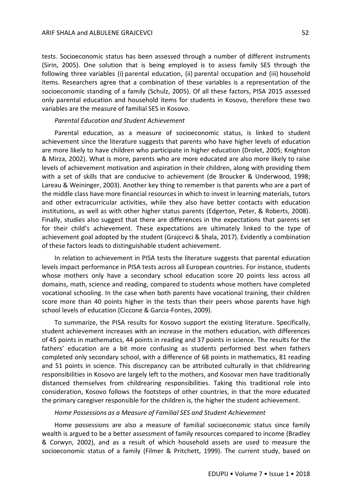tests. Socioeconomic status has been assessed through a number of different instruments (Sirin, 2005). One solution that is being employed is to assess family SES through the following three variables (i) parental education, (ii) parental occupation and (iii) household items. Researchers agree that a combination of these variables is a representation of the socioeconomic standing of a family (Schulz, 2005). Of all these factors, PISA 2015 assessed only parental education and household items for students in Kosovo, therefore these two variables are the measure of familial SES in Kosovo.

## *Parental Education and Student Achievement*

Parental education, as a measure of socioeconomic status, is linked to student achievement since the literature suggests that parents who have higher levels of education are more likely to have children who participate in higher education (Drolet, 2005; Knighton & Mirza, 2002). What is more, parents who are more educated are also more likely to raise levels of achievement motivation and aspiration in their children, along with providing them with a set of skills that are conducive to achievement (de Broucker & Underwood, 1998; Lareau & Weininger, 2003). Another key thing to remember is that parents who are a part of the middle class have more financial resources in which to invest in learning materials, tutors and other extracurricular activities, while they also have better contacts with education institutions, as well as with other higher status parents (Edgerton, Peter, & Roberts, 2008). Finally, studies also suggest that there are differences in the expectations that parents set for their child's achievement. These expectations are ultimately linked to the type of achievement goal adopted by the student (Grajcevci & Shala, 2017). Evidently a combination of these factors leads to distinguishable student achievement.

In relation to achievement in PISA tests the literature suggests that parental education levels impact performance in PISA tests across all European countries. For instance, students whose mothers only have a secondary school education score 20 points less across all domains, math, science and reading, compared to students whose mothers have completed vocational schooling. In the case when both parents have vocational training, their children score more than 40 points higher in the tests than their peers whose parents have high school levels of education (Ciccone & Garcia-Fontes, 2009).

To summarize, the PISA results for Kosovo support the existing literature. Specifically, student achievement increases with an increase in the mothers education, with differences of 45 points in mathematics, 44 points in reading and 37 points in science. The results for the fathers' education are a bit more confusing as students performed best when fathers completed only secondary school, with a difference of 68 points in mathematics, 81 reading and 51 points in science. This discrepancy can be attributed culturally in that childrearing responsibilities in Kosovo are largely left to the mothers, and Kosovar men have traditionally distanced themselves from childrearing responsibilities. Taking this traditional role into consideration, Kosovo follows the footsteps of other countries, in that the more educated the primary caregiver responsible for the children is, the higher the student achievement.

## *Home Possessions as a Measure of Familial SES and Student Achievement*

Home possessions are also a measure of familial socioeconomic status since family wealth is argued to be a better assessment of family resources compared to income (Bradley & Corwyn, 2002), and as a result of which household assets are used to measure the socioeconomic status of a family (Filmer & Pritchett, 1999). The current study, based on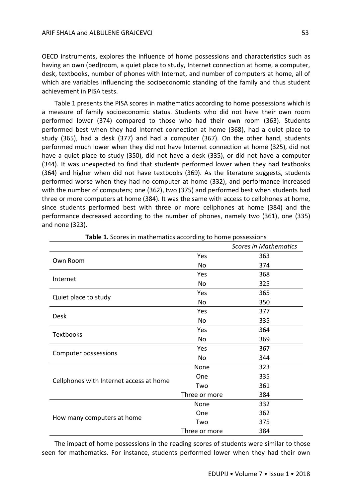OECD instruments, explores the influence of home possessions and characteristics such as having an own (bed)room, a quiet place to study, Internet connection at home, a computer, desk, textbooks, number of phones with Internet, and number of computers at home, all of which are variables influencing the socioeconomic standing of the family and thus student achievement in PISA tests.

Table 1 presents the PISA scores in mathematics according to home possessions which is a measure of family socioeconomic status. Students who did not have their own room performed lower (374) compared to those who had their own room (363). Students performed best when they had Internet connection at home (368), had a quiet place to study (365), had a desk (377) and had a computer (367). On the other hand, students performed much lower when they did not have Internet connection at home (325), did not have a quiet place to study (350), did not have a desk (335), or did not have a computer (344). It was unexpected to find that students performed lower when they had textbooks (364) and higher when did not have textbooks (369). As the literature suggests, students performed worse when they had no computer at home (332), and performance increased with the number of computers; one (362), two (375) and performed best when students had three or more computers at home (384). It was the same with access to cellphones at home, since students performed best with three or more cellphones at home (384) and the performance decreased according to the number of phones, namely two (361), one (335) and none (323).

|                                         |               | <b>Scores in Mathematics</b> |
|-----------------------------------------|---------------|------------------------------|
| Own Room                                | Yes           | 363                          |
|                                         | No            | 374                          |
| Internet                                | Yes           | 368                          |
|                                         | No            | 325                          |
| Quiet place to study                    | Yes           | 365                          |
|                                         | No            | 350                          |
| <b>Desk</b>                             | Yes           | 377                          |
|                                         | <b>No</b>     | 335                          |
|                                         | Yes           | 364                          |
| <b>Textbooks</b>                        | No            | 369                          |
|                                         | Yes           | 367                          |
| Computer possessions                    | <b>No</b>     | 344                          |
| Cellphones with Internet access at home | None          | 323                          |
|                                         | One           | 335                          |
|                                         | Two           | 361                          |
|                                         | Three or more | 384                          |
| How many computers at home              | None          | 332                          |
|                                         | One           | 362                          |
|                                         | Two           | 375                          |
|                                         | Three or more | 384                          |

| Table 1. Scores in mathematics according to home possessions |  |  |  |  |
|--------------------------------------------------------------|--|--|--|--|
|--------------------------------------------------------------|--|--|--|--|

The impact of home possessions in the reading scores of students were similar to those seen for mathematics. For instance, students performed lower when they had their own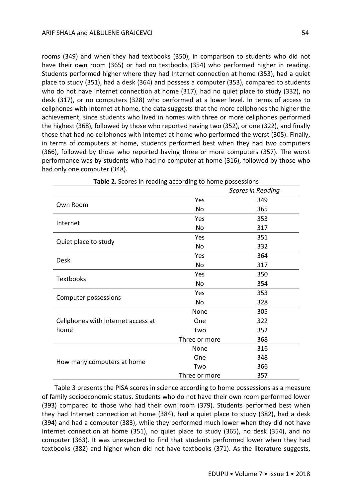rooms (349) and when they had textbooks (350), in comparison to students who did not have their own room (365) or had no textbooks (354) who performed higher in reading. Students performed higher where they had Internet connection at home (353), had a quiet place to study (351), had a desk (364) and possess a computer (353), compared to students who do not have Internet connection at home (317), had no quiet place to study (332), no desk (317), or no computers (328) who performed at a lower level. In terms of access to cellphones with Internet at home, the data suggests that the more cellphones the higher the achievement, since students who lived in homes with three or more cellphones performed the highest (368), followed by those who reported having two (352), or one (322), and finally those that had no cellphones with Internet at home who performed the worst (305). Finally, in terms of computers at home, students performed best when they had two computers (366), followed by those who reported having three or more computers (357). The worst performance was by students who had no computer at home (316), followed by those who had only one computer (348).

| <b>Table 2.</b> Scores in reading according to home possessions<br>Scores in Reading |               |     |
|--------------------------------------------------------------------------------------|---------------|-----|
|                                                                                      |               |     |
| Own Room                                                                             | Yes           | 349 |
|                                                                                      | No            | 365 |
| Internet                                                                             | Yes           | 353 |
|                                                                                      | No            | 317 |
| Quiet place to study                                                                 | Yes           | 351 |
|                                                                                      | No            | 332 |
| Desk                                                                                 | Yes           | 364 |
|                                                                                      | <b>No</b>     | 317 |
| <b>Textbooks</b>                                                                     | Yes           | 350 |
|                                                                                      | No            | 354 |
| Computer possessions                                                                 | Yes           | 353 |
|                                                                                      | No            | 328 |
| Cellphones with Internet access at<br>home                                           | None          | 305 |
|                                                                                      | One           | 322 |
|                                                                                      | Two           | 352 |
|                                                                                      | Three or more | 368 |
| How many computers at home                                                           | None          | 316 |
|                                                                                      | One           | 348 |
|                                                                                      | Two           | 366 |
|                                                                                      | Three or more | 357 |

| Table 2. Scores in reading according to home possessions |  |  |
|----------------------------------------------------------|--|--|
|----------------------------------------------------------|--|--|

Table 3 presents the PISA scores in science according to home possessions as a measure of family socioeconomic status. Students who do not have their own room performed lower (393) compared to those who had their own room (379). Students performed best when they had Internet connection at home (384), had a quiet place to study (382), had a desk (394) and had a computer (383), while they performed much lower when they did not have Internet connection at home (351), no quiet place to study (365), no desk (354), and no computer (363). It was unexpected to find that students performed lower when they had textbooks (382) and higher when did not have textbooks (371). As the literature suggests,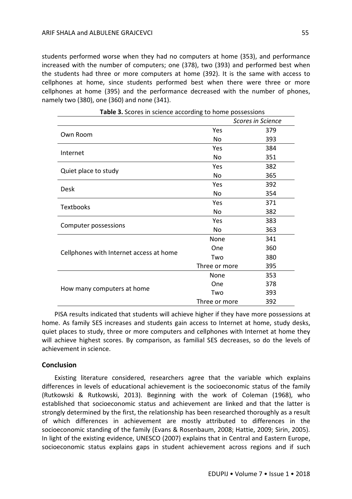students performed worse when they had no computers at home (353), and performance increased with the number of computers; one (378), two (393) and performed best when the students had three or more computers at home (392). It is the same with access to cellphones at home, since students performed best when there were three or more cellphones at home (395) and the performance decreased with the number of phones, namely two (380), one (360) and none (341).

|                                         |               | <b>Scores in Science</b> |
|-----------------------------------------|---------------|--------------------------|
|                                         | Yes           | 379                      |
| Own Room                                | No            | 393                      |
| Internet                                | Yes           | 384                      |
|                                         | No            | 351                      |
| Quiet place to study                    | Yes           | 382                      |
|                                         | <b>No</b>     | 365                      |
|                                         | Yes           | 392                      |
| <b>Desk</b>                             | No            | 354                      |
| <b>Textbooks</b>                        | Yes           | 371                      |
|                                         | No            | 382                      |
|                                         | Yes           | 383                      |
| Computer possessions                    | No            | 363                      |
|                                         | None          | 341                      |
| Cellphones with Internet access at home | One           | 360                      |
|                                         | Two           | 380                      |
|                                         | Three or more | 395                      |
| How many computers at home              | None          | 353                      |
|                                         | One           | 378                      |
|                                         | Two           | 393                      |
|                                         | Three or more | 392                      |

**Table 3.** Scores in science according to home possessions

PISA results indicated that students will achieve higher if they have more possessions at home. As family SES increases and students gain access to Internet at home, study desks, quiet places to study, three or more computers and cellphones with Internet at home they will achieve highest scores. By comparison, as familial SES decreases, so do the levels of achievement in science.

## **Conclusion**

Existing literature considered, researchers agree that the variable which explains differences in levels of educational achievement is the socioeconomic status of the family (Rutkowski & Rutkowski, 2013). Beginning with the work of Coleman (1968), who established that socioeconomic status and achievement are linked and that the latter is strongly determined by the first, the relationship has been researched thoroughly as a result of which differences in achievement are mostly attributed to differences in the socioeconomic standing of the family (Evans & Rosenbaum, 2008; Hattie, 2009; Sirin, 2005). In light of the existing evidence, UNESCO (2007) explains that in Central and Eastern Europe, socioeconomic status explains gaps in student achievement across regions and if such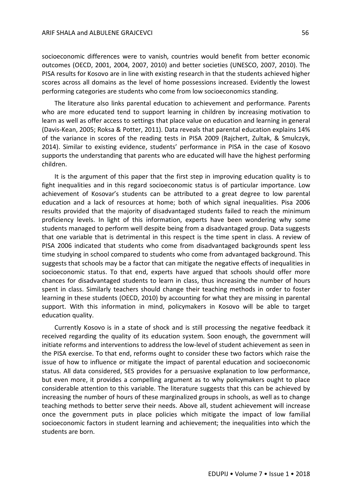socioeconomic differences were to vanish, countries would benefit from better economic outcomes (OECD, 2001, 2004, 2007, 2010) and better societies (UNESCO, 2007, 2010). The PISA results for Kosovo are in line with existing research in that the students achieved higher scores across all domains as the level of home possessions increased. Evidently the lowest performing categories are students who come from low socioeconomics standing.

The literature also links parental education to achievement and performance. Parents who are more educated tend to support learning in children by increasing motivation to learn as well as offer access to settings that place value on education and learning in general (Davis-Kean, 2005; Roksa & Potter, 2011). Data reveals that parental education explains 14% of the variance in scores of the reading tests in PISA 2009 (Rajchert, Zultak, & Smulczyk, 2014). Similar to existing evidence, students' performance in PISA in the case of Kosovo supports the understanding that parents who are educated will have the highest performing children.

It is the argument of this paper that the first step in improving education quality is to fight inequalities and in this regard socioeconomic status is of particular importance. Low achievement of Kosovar's students can be attributed to a great degree to low parental education and a lack of resources at home; both of which signal inequalities. Pisa 2006 results provided that the majority of disadvantaged students failed to reach the minimum proficiency levels. In light of this information, experts have been wondering why some students managed to perform well despite being from a disadvantaged group. Data suggests that one variable that is detrimental in this respect is the time spent in class. A review of PISA 2006 indicated that students who come from disadvantaged backgrounds spent less time studying in school compared to students who come from advantaged background. This suggests that schools may be a factor that can mitigate the negative effects of inequalities in socioeconomic status. To that end, experts have argued that schools should offer more chances for disadvantaged students to learn in class, thus increasing the number of hours spent in class. Similarly teachers should change their teaching methods in order to foster learning in these students (OECD, 2010) by accounting for what they are missing in parental support. With this information in mind, policymakers in Kosovo will be able to target education quality.

Currently Kosovo is in a state of shock and is still processing the negative feedback it received regarding the quality of its education system. Soon enough, the government will initiate reforms and interventions to address the low-level of student achievement as seen in the PISA exercise. To that end, reforms ought to consider these two factors which raise the issue of how to influence or mitigate the impact of parental education and socioeconomic status. All data considered, SES provides for a persuasive explanation to low performance, but even more, it provides a compelling argument as to why policymakers ought to place considerable attention to this variable. The literature suggests that this can be achieved by increasing the number of hours of these marginalized groups in schools, as well as to change teaching methods to better serve their needs. Above all, student achievement will increase once the government puts in place policies which mitigate the impact of low familial socioeconomic factors in student learning and achievement; the inequalities into which the students are born.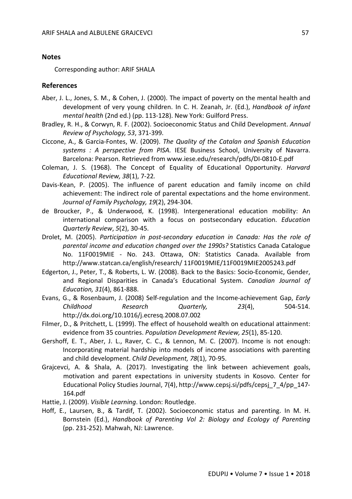## **Notes**

Corresponding author: ARIF SHALA

## **References**

- Aber, J. L., Jones, S. M., & Cohen, J. (2000). The impact of poverty on the mental health and development of very young children. In C. H. Zeanah, Jr. (Ed.), *Handbook of infant mental health* (2nd ed.) (pp. 113-128). New York: Guilford Press.
- Bradley, R. H., & Corwyn, R. F. (2002). Socioeconomic Status and Child Development. *Annual Review of Psychology, 53*, 371-399.
- Ciccone, A., & Garcia-Fontes, W. (2009). *The Quality of the Catalan and Spanish Education systems : A perspective from PISA.* IESE Business School, University of Navarra. Barcelona: Pearson. Retrieved from www.iese.edu/research/pdfs/DI-0810-E.pdf
- Coleman, J. S. (1968). The Concept of Equality of Educational Opportunity. *Harvard Educational Review, 38*(1), 7-22*.*
- Davis-Kean, P. (2005). The influence of parent education and family income on child achievement: The indirect role of parental expectations and the home environment. *Journal of Family Psychology, 19*(2), 294-304.
- de Broucker, P., & Underwood, K. (1998). Intergenerational education mobility: An international comparison with a focus on postsecondary education. *Education Quarterly Review*, *5*(2), 30-45.
- Drolet, M. (2005). *Participation in post-secondary education in Canada: Has the role of parental income and education changed over the 1990s?* Statistics Canada Catalogue No. 11F0019MIE - No. 243. Ottawa, ON: Statistics Canada. Available from http://www.statcan.ca/english/research/ 11F0019MIE/11F0019MIE2005243.pdf
- Edgerton, J., Peter, T., & Roberts, L. W. (2008). Back to the Basics: Socio-Economic, Gender, and Regional Disparities in Canada's Educational System. *Canadian Journal of Education, 31*(4), 861-888.
- Evans, G., & Rosenbaum, J. (2008) Self-regulation and the Income-achievement Gap, *Early Childhood Research Quarterly, 23*(4), 504-514. http://dx.doi.org/10.1016/j.ecresq.2008.07.002
- Filmer, D., & Pritchett, L. (1999). The effect of household wealth on educational attainment: evidence from 35 countries. *Population Development Review, 25*(1), 85-120.
- Gershoff, E. T., Aber, J. L., Raver, C. C., & Lennon, M. C. (2007). Income is not enough: Incorporating material hardship into models of income associations with parenting and child development. *Child Development, 78*(1), 70-95.
- Grajcevci, A. & Shala, A. (2017). Investigating the link between achievement goals, motivation and parent expectations in university students in Kosovo. Center for Educational Policy Studies Journal, 7(4), http://www.cepsj.si/pdfs/cepsj\_7\_4/pp\_147- 164.pdf
- Hattie, J. (2009). *Visible Learning*. London: Routledge.
- Hoff, E., Laursen, B., & Tardif, T. (2002). Socioeconomic status and parenting. In M. H. Bornstein (Ed.), *Handbook of Parenting Vol 2: Biology and Ecology of Parenting* (pp. 231-252). Mahwah, NJ: Lawrence.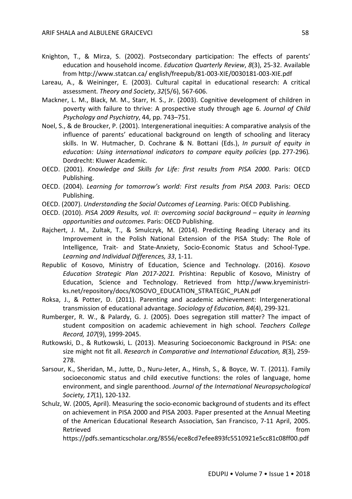- Knighton, T., & Mirza, S. (2002). Postsecondary participation: The effects of parents' education and household income. *Education Quarterly Review*, *8*(3), 25-32. Available from http://www.statcan.ca/ english/freepub/81-003-XIE/0030181-003-XIE.pdf
- Lareau, A., & Weininger, E. (2003). Cultural capital in educational research: A critical assessment. *Theory and Society*, *32*(5/6), 567-606.
- Mackner, L. M., Black, M. M., Starr, H. S., Jr. (2003). Cognitive development of children in poverty with failure to thrive: A prospective study through age 6. *Journal of Child Psychology and Psychiatry*, 44, pp. 743–751.
- Noel, S., & de Broucker, P. (2001). Intergenerational inequities: A comparative analysis of the influence of parents' educational background on length of schooling and literacy skills. In W. Hutmacher, D. Cochrane & N. Bottani (Eds.), *In pursuit of equity in education: Using international indicators to compare equity policies* (pp. 277-296)*.*  Dordrecht: Kluwer Academic.
- OECD. (2001). *Knowledge and Skills for Life: first results from PISA 2000*. Paris: OECD Publishing.
- OECD. (2004). *Learning for tomorrow's world: First results from PISA 2003*. Paris: OECD Publishing.
- OECD. (2007). *Understanding the Social Outcomes of Learning.* Paris: OECD Publishing.
- OECD. (2010). *PISA 2009 Results, vol. II: overcoming social background – equity in learning opportunities and outcomes*. Paris: OECD Publishing.
- Rajchert, J. M., Zultak, T., & Smulczyk, M. (2014). Predicting Reading Literacy and its Improvement in the Polish National Extension of the PISA Study: The Role of Intelligence, Trait- and State-Anxiety, Socio-Economic Status and School-Type. *Learning and Individual Differences, 33*, 1-11.
- Republic of Kosovo, Ministry of Education, Science and Technology. (2016). *Kosovo Education Strategic Plan 2017-2021.* Prishtina: Republic of Kosovo, Ministry of Education, Science and Technology. Retrieved from http://www.kryeministriks.net/repository/docs/KOSOVO\_EDUCATION\_STRATEGIC\_PLAN.pdf
- Roksa, J., & Potter, D. (2011). Parenting and academic achievement: Intergenerational transmission of educational advantage. *Sociology of Education, 84*(4), 299-321.
- Rumberger, R. W., & Palardy, G. J. (2005). Does segregation still matter? The impact of student composition on academic achievement in high school. *Teachers College Record, 107*(9), 1999-2045.
- Rutkowski, D., & Rutkowski, L. (2013). Measuring Socioeconomic Background in PISA: one size might not fit all. *Research in Comparative and International Education, 8*(3), 259- 278.
- Sarsour, K., Sheridan, M., Jutte, D., Nuru-Jeter, A., Hinsh, S., & Boyce, W. T. (2011). Family socioeconomic status and child executive functions: the roles of language, home environment, and single parenthood. *Journal of the International Neuropsychological Society, 17*(1), 120-132.
- Schulz, W. (2005, April). Measuring the socio-economic background of students and its effect on achievement in PISA 2000 and PISA 2003. Paper presented at the Annual Meeting of the American Educational Research Association, San Francisco, 7-11 April, 2005. Retrieved **from**

https://pdfs.semanticscholar.org/8556/ece8cd7efee893fc5510921e5cc81c08ff00.pdf